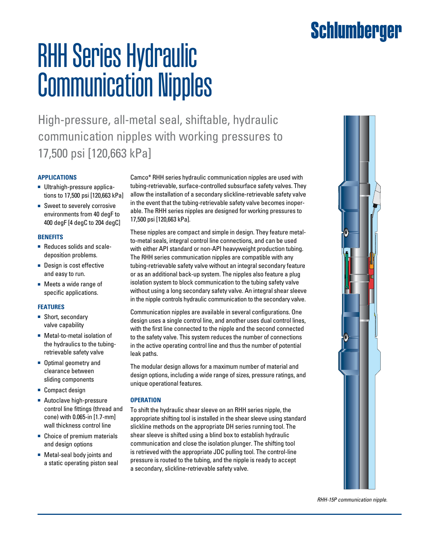## Schlumberger

# RHH Series Hydraulic Communication Nipples

High-pressure, all-metal seal, shiftable, hydraulic communication nipples with working pressures to 17,500 psi [120,663 kPa]

#### **APPLICATIONs**

- Ultrahigh-pressure applications to 17,500 psi [120,663 kPa]
- Sweet to severely corrosive environments from 40 degF to 400 degF [4 degC to 204 degC]

#### **BENEFITs**

- Reduces solids and scaledeposition problems.
- Design is cost effective and easy to run.
- Meets a wide range of specific applications.

#### **FEATURES**

- Short, secondary valve capability
- Metal-to-metal isolation of the hydraulics to the tubingretrievable safety valve
- Optimal geometry and clearance between sliding components
- Compact design
- Autoclave high-pressure control line fittings (thread and cone) with 0.065-in [1.7-mm] wall thickness control line
- Choice of premium materials and design options
- Metal-seal body joints and a static operating piston seal

Camco\* RHH series hydraulic communication nipples are used with tubing-retrievable, surface-controlled subsurface safety valves. They allow the installation of a secondary slickline-retrievable safety valve in the event that the tubing-retrievable safety valve becomes inoperable. The RHH series nipples are designed for working pressures to 17,500 psi [120,663 kPa].

These nipples are compact and simple in design. They feature metalto-metal seals, integral control line connections, and can be used with either API standard or non-API heavyweight production tubing. The RHH series communication nipples are compatible with any tubing-retrievable safety valve without an integral secondary feature or as an additional back-up system. The nipples also feature a plug isolation system to block communication to the tubing safety valve without using a long secondary safety valve. An integral shear sleeve in the nipple controls hydraulic communication to the secondary valve.

Communication nipples are available in several configurations. One design uses a single control line, and another uses dual control lines, with the first line connected to the nipple and the second connected to the safety valve. This system reduces the number of connections in the active operating control line and thus the number of potential leak paths.

The modular design allows for a maximum number of material and design options, including a wide range of sizes, pressure ratings, and unique operational features.

#### **Operation**

To shift the hydraulic shear sleeve on an RHH series nipple, the appropriate shifting tool is installed in the shear sleeve using standard slickline methods on the appropriate DH series running tool. The shear sleeve is shifted using a blind box to establish hydraulic communication and close the isolation plunger. The shifting tool is retrieved with the appropriate JDC pulling tool. The control-line pressure is routed to the tubing, and the nipple is ready to accept a secondary, slickline-retrievable safety valve.



*RHH-15P communication nipple.*